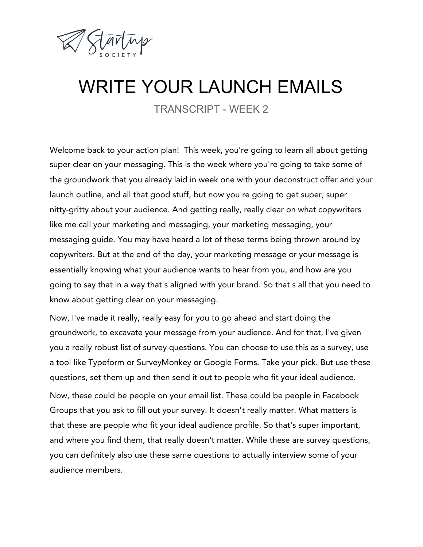

## WRITE YOUR LAUNCH EMAILS

TRANSCRIPT - WEEK 2

Welcome back to your action plan! This week, you're going to learn all about getting super clear on your messaging. This is the week where you're going to take some of the groundwork that you already laid in week one with your deconstruct offer and your launch outline, and all that good stuff, but now you're going to get super, super nitty-gritty about your audience. And getting really, really clear on what copywriters like me call your marketing and messaging, your marketing messaging, your messaging guide. You may have heard a lot of these terms being thrown around by copywriters. But at the end of the day, your marketing message or your message is essentially knowing what your audience wants to hear from you, and how are you going to say that in a way that's aligned with your brand. So that's all that you need to know about getting clear on your messaging.

Now, I've made it really, really easy for you to go ahead and start doing the groundwork, to excavate your message from your audience. And for that, I've given you a really robust list of survey questions. You can choose to use this as a survey, use a tool like Typeform or SurveyMonkey or Google Forms. Take your pick. But use these questions, set them up and then send it out to people who fit your ideal audience. Now, these could be people on your email list. These could be people in Facebook Groups that you ask to fill out your survey. It doesn't really matter. What matters is that these are people who fit your ideal audience profile. So that's super important, and where you find them, that really doesn't matter. While these are survey questions, you can definitely also use these same questions to actually interview some of your audience members.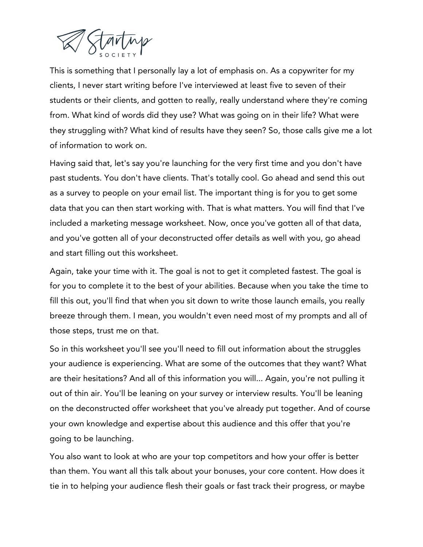

This is something that I personally lay a lot of emphasis on. As a copywriter for my clients, I never start writing before I've interviewed at least five to seven of their students or their clients, and gotten to really, really understand where they're coming from. What kind of words did they use? What was going on in their life? What were they struggling with? What kind of results have they seen? So, those calls give me a lot of information to work on.

Having said that, let's say you're launching for the very first time and you don't have past students. You don't have clients. That's totally cool. Go ahead and send this out as a survey to people on your email list. The important thing is for you to get some data that you can then start working with. That is what matters. You will find that I've included a marketing message worksheet. Now, once you've gotten all of that data, and you've gotten all of your deconstructed offer details as well with you, go ahead and start filling out this worksheet.

Again, take your time with it. The goal is not to get it completed fastest. The goal is for you to complete it to the best of your abilities. Because when you take the time to fill this out, you'll find that when you sit down to write those launch emails, you really breeze through them. I mean, you wouldn't even need most of my prompts and all of those steps, trust me on that.

So in this worksheet you'll see you'll need to fill out information about the struggles your audience is experiencing. What are some of the outcomes that they want? What are their hesitations? And all of this information you will... Again, you're not pulling it out of thin air. You'll be leaning on your survey or interview results. You'll be leaning on the deconstructed offer worksheet that you've already put together. And of course your own knowledge and expertise about this audience and this offer that you're going to be launching.

You also want to look at who are your top competitors and how your offer is better than them. You want all this talk about your bonuses, your core content. How does it tie in to helping your audience flesh their goals or fast track their progress, or maybe